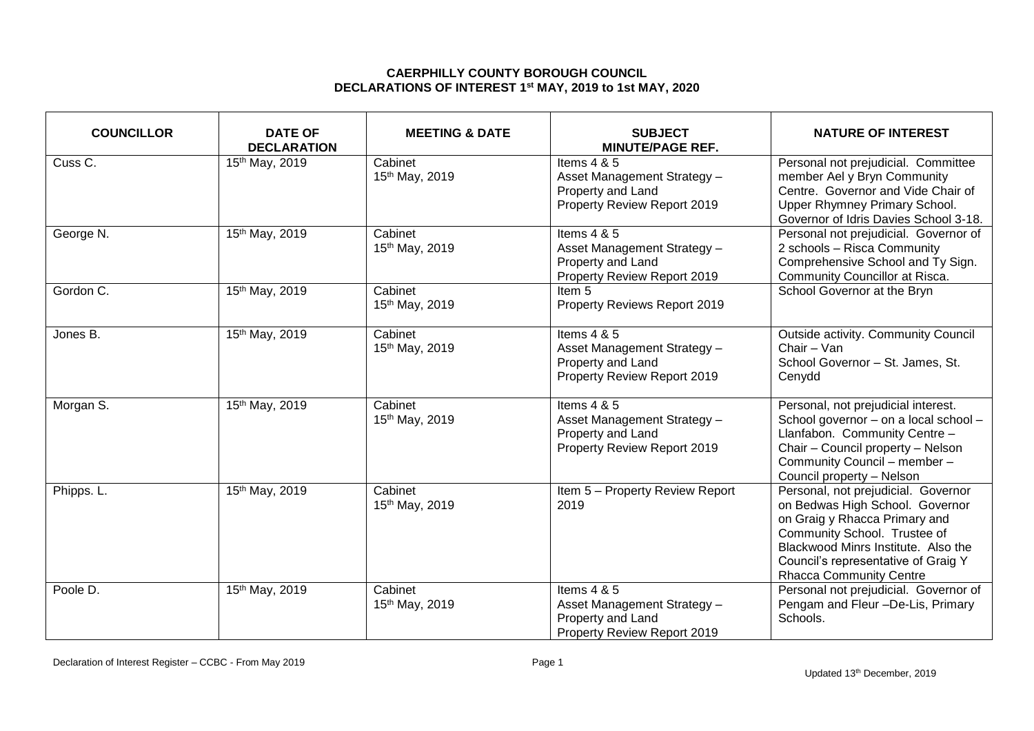## **CAERPHILLY COUNTY BOROUGH COUNCIL DECLARATIONS OF INTEREST 1 st MAY, 2019 to 1st MAY, 2020**

| <b>COUNCILLOR</b> | <b>DATE OF</b><br><b>DECLARATION</b> | <b>MEETING &amp; DATE</b> | <b>SUBJECT</b><br><b>MINUTE/PAGE REF.</b>                                                        | <b>NATURE OF INTEREST</b>                                                                                                                                                                                                                               |
|-------------------|--------------------------------------|---------------------------|--------------------------------------------------------------------------------------------------|---------------------------------------------------------------------------------------------------------------------------------------------------------------------------------------------------------------------------------------------------------|
| Cuss C.           | 15th May, 2019                       | Cabinet<br>15th May, 2019 | Items 4 & 5<br>Asset Management Strategy -<br>Property and Land<br>Property Review Report 2019   | Personal not prejudicial. Committee<br>member Ael y Bryn Community<br>Centre. Governor and Vide Chair of<br>Upper Rhymney Primary School.<br>Governor of Idris Davies School 3-18.                                                                      |
| George N.         | 15th May, 2019                       | Cabinet<br>15th May, 2019 | Items $4 & 5$<br>Asset Management Strategy -<br>Property and Land<br>Property Review Report 2019 | Personal not prejudicial. Governor of<br>2 schools - Risca Community<br>Comprehensive School and Ty Sign.<br>Community Councillor at Risca.                                                                                                             |
| Gordon C.         | 15th May, 2019                       | Cabinet<br>15th May, 2019 | Item <sub>5</sub><br>Property Reviews Report 2019                                                | School Governor at the Bryn                                                                                                                                                                                                                             |
| Jones B.          | 15th May, 2019                       | Cabinet<br>15th May, 2019 | Items $4 & 5$<br>Asset Management Strategy -<br>Property and Land<br>Property Review Report 2019 | Outside activity. Community Council<br>Chair - Van<br>School Governor - St. James, St.<br>Cenydd                                                                                                                                                        |
| Morgan S.         | 15th May, 2019                       | Cabinet<br>15th May, 2019 | Items $4 & 5$<br>Asset Management Strategy -<br>Property and Land<br>Property Review Report 2019 | Personal, not prejudicial interest.<br>School governor - on a local school -<br>Llanfabon. Community Centre -<br>Chair - Council property - Nelson<br>Community Council - member -<br>Council property - Nelson                                         |
| Phipps. L.        | 15th May, 2019                       | Cabinet<br>15th May, 2019 | Item 5 - Property Review Report<br>2019                                                          | Personal, not prejudicial. Governor<br>on Bedwas High School. Governor<br>on Graig y Rhacca Primary and<br>Community School. Trustee of<br>Blackwood Minrs Institute. Also the<br>Council's representative of Graig Y<br><b>Rhacca Community Centre</b> |
| Poole D.          | 15th May, 2019                       | Cabinet<br>15th May, 2019 | Items $4 & 5$<br>Asset Management Strategy -<br>Property and Land<br>Property Review Report 2019 | Personal not prejudicial. Governor of<br>Pengam and Fleur -De-Lis, Primary<br>Schools.                                                                                                                                                                  |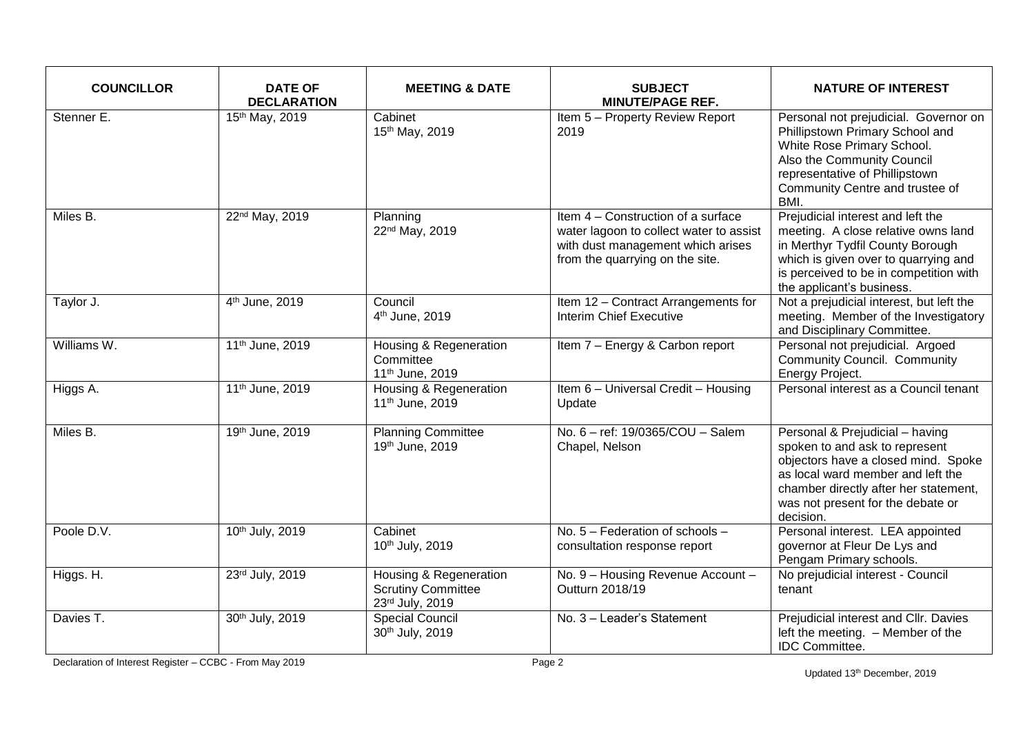| <b>COUNCILLOR</b> | <b>DATE OF</b><br><b>DECLARATION</b> | <b>MEETING &amp; DATE</b>                                              | <b>SUBJECT</b><br><b>MINUTE/PAGE REF.</b>                                                                                                             | <b>NATURE OF INTEREST</b>                                                                                                                                                                                                                |
|-------------------|--------------------------------------|------------------------------------------------------------------------|-------------------------------------------------------------------------------------------------------------------------------------------------------|------------------------------------------------------------------------------------------------------------------------------------------------------------------------------------------------------------------------------------------|
| Stenner E.        | 15th May, 2019                       | Cabinet<br>15th May, 2019                                              | Item 5 - Property Review Report<br>2019                                                                                                               | Personal not prejudicial. Governor on<br>Phillipstown Primary School and<br>White Rose Primary School.<br>Also the Community Council<br>representative of Phillipstown<br>Community Centre and trustee of<br>BMI.                        |
| Miles B.          | 22 <sup>nd</sup> May, 2019           | Planning<br>22 <sup>nd</sup> May, 2019                                 | Item 4 – Construction of a surface<br>water lagoon to collect water to assist<br>with dust management which arises<br>from the quarrying on the site. | Prejudicial interest and left the<br>meeting. A close relative owns land<br>in Merthyr Tydfil County Borough<br>which is given over to quarrying and<br>is perceived to be in competition with<br>the applicant's business.              |
| Taylor J.         | 4 <sup>th</sup> June, 2019           | Council<br>4 <sup>th</sup> June, 2019                                  | Item 12 - Contract Arrangements for<br>Interim Chief Executive                                                                                        | Not a prejudicial interest, but left the<br>meeting. Member of the Investigatory<br>and Disciplinary Committee.                                                                                                                          |
| Williams W.       | 11th June, 2019                      | Housing & Regeneration<br>Committee<br>11 <sup>th</sup> June, 2019     | Item 7 - Energy & Carbon report                                                                                                                       | Personal not prejudicial. Argoed<br><b>Community Council. Community</b><br>Energy Project.                                                                                                                                               |
| Higgs A.          | 11 <sup>th</sup> June, 2019          | Housing & Regeneration<br>11 <sup>th</sup> June, 2019                  | Item 6 - Universal Credit - Housing<br>Update                                                                                                         | Personal interest as a Council tenant                                                                                                                                                                                                    |
| Miles B.          | 19th June, 2019                      | <b>Planning Committee</b><br>19th June, 2019                           | No. 6 - ref: 19/0365/COU - Salem<br>Chapel, Nelson                                                                                                    | Personal & Prejudicial - having<br>spoken to and ask to represent<br>objectors have a closed mind. Spoke<br>as local ward member and left the<br>chamber directly after her statement,<br>was not present for the debate or<br>decision. |
| Poole D.V.        | 10th July, 2019                      | Cabinet<br>10th July, 2019                                             | No. 5 - Federation of schools -<br>consultation response report                                                                                       | Personal interest. LEA appointed<br>governor at Fleur De Lys and<br>Pengam Primary schools.                                                                                                                                              |
| Higgs. H.         | 23rd July, 2019                      | Housing & Regeneration<br><b>Scrutiny Committee</b><br>23rd July, 2019 | No. 9 - Housing Revenue Account -<br>Outturn 2018/19                                                                                                  | No prejudicial interest - Council<br>tenant                                                                                                                                                                                              |
| Davies T.         | 30th July, 2019                      | <b>Special Council</b><br>30th July, 2019                              | No. 3 - Leader's Statement                                                                                                                            | Prejudicial interest and Cllr. Davies<br>left the meeting. - Member of the<br><b>IDC</b> Committee.                                                                                                                                      |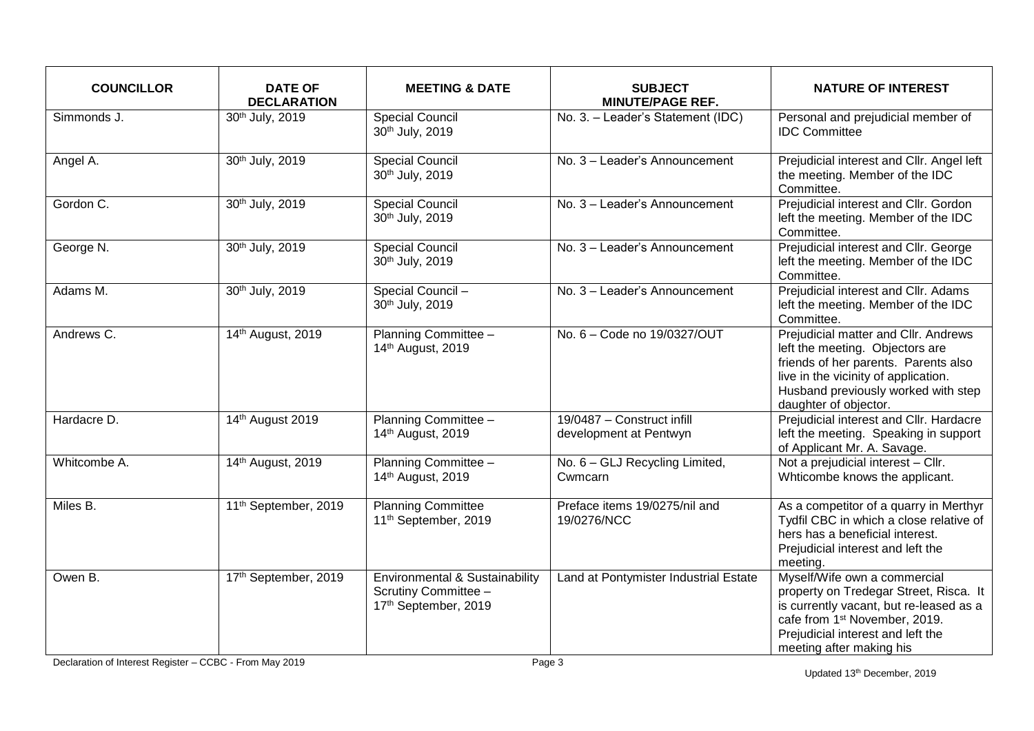| <b>COUNCILLOR</b> | <b>DATE OF</b><br><b>DECLARATION</b> | <b>MEETING &amp; DATE</b>                                                      | <b>SUBJECT</b><br><b>MINUTE/PAGE REF.</b>            | <b>NATURE OF INTEREST</b>                                                                                                                                                                                                       |
|-------------------|--------------------------------------|--------------------------------------------------------------------------------|------------------------------------------------------|---------------------------------------------------------------------------------------------------------------------------------------------------------------------------------------------------------------------------------|
| Simmonds J.       | 30th July, 2019                      | <b>Special Council</b><br>30th July, 2019                                      | No. 3. - Leader's Statement (IDC)                    | Personal and prejudicial member of<br><b>IDC Committee</b>                                                                                                                                                                      |
| Angel A.          | 30th July, 2019                      | <b>Special Council</b><br>30th July, 2019                                      | No. 3 - Leader's Announcement                        | Prejudicial interest and Cllr. Angel left<br>the meeting. Member of the IDC<br>Committee.                                                                                                                                       |
| Gordon C.         | 30th July, 2019                      | <b>Special Council</b><br>30th July, 2019                                      | No. 3 - Leader's Announcement                        | Prejudicial interest and Cllr. Gordon<br>left the meeting. Member of the IDC<br>Committee.                                                                                                                                      |
| George N.         | 30th July, 2019                      | <b>Special Council</b><br>30th July, 2019                                      | No. 3 - Leader's Announcement                        | Prejudicial interest and Cllr. George<br>left the meeting. Member of the IDC<br>Committee.                                                                                                                                      |
| Adams M.          | 30th July, 2019                      | Special Council -<br>30th July, 2019                                           | No. 3 - Leader's Announcement                        | Prejudicial interest and Cllr. Adams<br>left the meeting. Member of the IDC<br>Committee.                                                                                                                                       |
| Andrews C.        | 14th August, 2019                    | Planning Committee -<br>14th August, 2019                                      | No. 6 - Code no 19/0327/OUT                          | Prejudicial matter and Cllr. Andrews<br>left the meeting. Objectors are<br>friends of her parents. Parents also<br>live in the vicinity of application.<br>Husband previously worked with step<br>daughter of objector.         |
| Hardacre D.       | 14th August 2019                     | Planning Committee -<br>14th August, 2019                                      | 19/0487 - Construct infill<br>development at Pentwyn | Prejudicial interest and Cllr. Hardacre<br>left the meeting. Speaking in support<br>of Applicant Mr. A. Savage.                                                                                                                 |
| Whitcombe A.      | 14th August, 2019                    | Planning Committee -<br>14th August, 2019                                      | No. 6 - GLJ Recycling Limited,<br>Cwmcarn            | Not a prejudicial interest - Cllr.<br>Whticombe knows the applicant.                                                                                                                                                            |
| Miles B.          | 11 <sup>th</sup> September, 2019     | <b>Planning Committee</b><br>11 <sup>th</sup> September, 2019                  | Preface items 19/0275/nil and<br>19/0276/NCC         | As a competitor of a quarry in Merthyr<br>Tydfil CBC in which a close relative of<br>hers has a beneficial interest.<br>Prejudicial interest and left the<br>meeting.                                                           |
| Owen B.           | 17th September, 2019                 | Environmental & Sustainability<br>Scrutiny Committee -<br>17th September, 2019 | Land at Pontymister Industrial Estate                | Myself/Wife own a commercial<br>property on Tredegar Street, Risca. It<br>is currently vacant, but re-leased as a<br>cafe from 1 <sup>st</sup> November, 2019.<br>Prejudicial interest and left the<br>meeting after making his |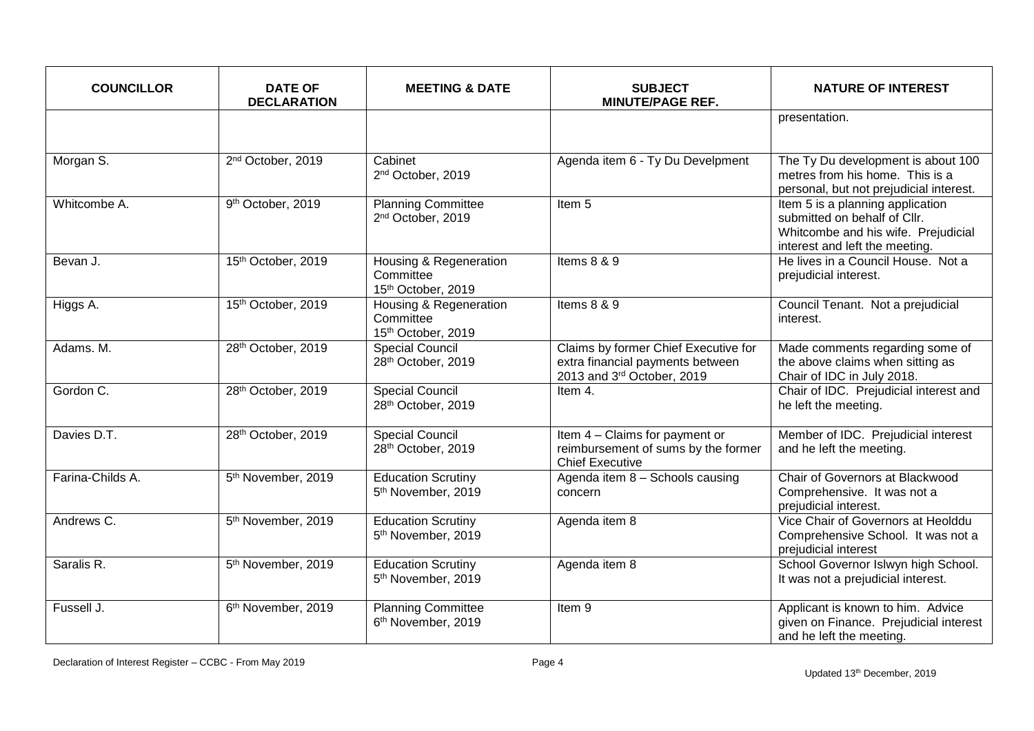| <b>COUNCILLOR</b> | <b>DATE OF</b><br><b>DECLARATION</b> | <b>MEETING &amp; DATE</b>                                   | <b>SUBJECT</b><br><b>MINUTE/PAGE REF.</b>                                                              | <b>NATURE OF INTEREST</b>                                                                                                                 |
|-------------------|--------------------------------------|-------------------------------------------------------------|--------------------------------------------------------------------------------------------------------|-------------------------------------------------------------------------------------------------------------------------------------------|
|                   |                                      |                                                             |                                                                                                        | presentation.                                                                                                                             |
| Morgan S.         | 2 <sup>nd</sup> October, 2019        | Cabinet<br>2 <sup>nd</sup> October, 2019                    | Agenda item 6 - Ty Du Develpment                                                                       | The Ty Du development is about 100<br>metres from his home. This is a<br>personal, but not prejudicial interest.                          |
| Whitcombe A.      | 9th October, 2019                    | <b>Planning Committee</b><br>2 <sup>nd</sup> October, 2019  | Item <sub>5</sub>                                                                                      | Item 5 is a planning application<br>submitted on behalf of Cllr.<br>Whitcombe and his wife. Prejudicial<br>interest and left the meeting. |
| Bevan J.          | 15th October, 2019                   | Housing & Regeneration<br>Committee<br>15th October, 2019   | Items 8 & 9                                                                                            | He lives in a Council House. Not a<br>prejudicial interest.                                                                               |
| Higgs A.          | 15th October, 2019                   | Housing & Regeneration<br>Committee<br>15th October, 2019   | Items 8 & 9                                                                                            | Council Tenant. Not a prejudicial<br>interest.                                                                                            |
| Adams. M.         | 28th October, 2019                   | <b>Special Council</b><br>28th October, 2019                | Claims by former Chief Executive for<br>extra financial payments between<br>2013 and 3rd October, 2019 | Made comments regarding some of<br>the above claims when sitting as<br>Chair of IDC in July 2018.                                         |
| Gordon C.         | 28th October, 2019                   | <b>Special Council</b><br>28th October, 2019                | Item 4.                                                                                                | Chair of IDC. Prejudicial interest and<br>he left the meeting.                                                                            |
| Davies D.T.       | 28th October, 2019                   | <b>Special Council</b><br>28th October, 2019                | Item 4 - Claims for payment or<br>reimbursement of sums by the former<br><b>Chief Executive</b>        | Member of IDC. Prejudicial interest<br>and he left the meeting.                                                                           |
| Farina-Childs A.  | 5 <sup>th</sup> November, 2019       | Education Scrutiny<br>5 <sup>th</sup> November, 2019        | Agenda item 8 - Schools causing<br>concern                                                             | Chair of Governors at Blackwood<br>Comprehensive. It was not a<br>prejudicial interest.                                                   |
| Andrews C.        | 5 <sup>th</sup> November, 2019       | <b>Education Scrutiny</b><br>5 <sup>th</sup> November, 2019 | Agenda item 8                                                                                          | Vice Chair of Governors at Heolddu<br>Comprehensive School. It was not a<br>prejudicial interest                                          |
| Saralis R.        | 5 <sup>th</sup> November, 2019       | <b>Education Scrutiny</b><br>5 <sup>th</sup> November, 2019 | Agenda item 8                                                                                          | School Governor Islwyn high School.<br>It was not a prejudicial interest.                                                                 |
| Fussell J.        | 6 <sup>th</sup> November, 2019       | <b>Planning Committee</b><br>6 <sup>th</sup> November, 2019 | Item 9                                                                                                 | Applicant is known to him. Advice<br>given on Finance. Prejudicial interest<br>and he left the meeting.                                   |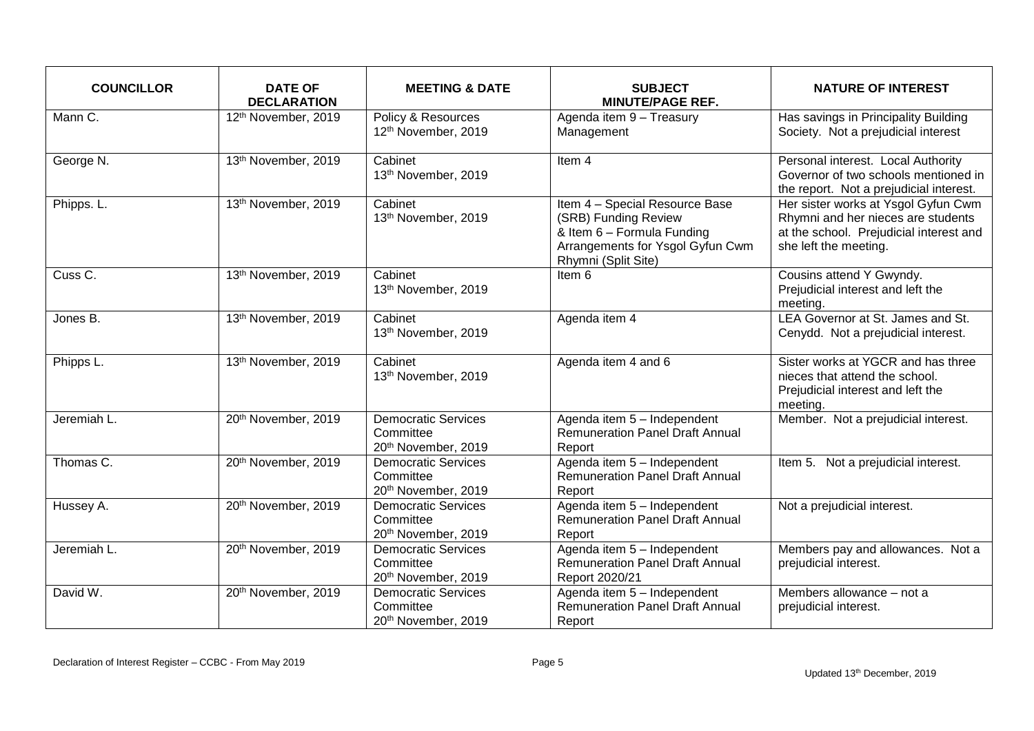| <b>COUNCILLOR</b> | <b>DATE OF</b><br><b>DECLARATION</b> | <b>MEETING &amp; DATE</b>                                      | <b>SUBJECT</b><br><b>MINUTE/PAGE REF.</b>                                                                                                       | <b>NATURE OF INTEREST</b>                                                                                                                     |
|-------------------|--------------------------------------|----------------------------------------------------------------|-------------------------------------------------------------------------------------------------------------------------------------------------|-----------------------------------------------------------------------------------------------------------------------------------------------|
| Mann C.           | 12th November, 2019                  | Policy & Resources<br>12th November, 2019                      | Agenda item 9 - Treasury<br>Management                                                                                                          | Has savings in Principality Building<br>Society. Not a prejudicial interest                                                                   |
| George N.         | 13th November, 2019                  | Cabinet<br>13th November, 2019                                 | Item <sub>4</sub>                                                                                                                               | Personal interest. Local Authority<br>Governor of two schools mentioned in<br>the report. Not a prejudicial interest.                         |
| Phipps. L.        | 13th November, 2019                  | Cabinet<br>13th November, 2019                                 | Item 4 - Special Resource Base<br>(SRB) Funding Review<br>& Item 6 - Formula Funding<br>Arrangements for Ysgol Gyfun Cwm<br>Rhymni (Split Site) | Her sister works at Ysgol Gyfun Cwm<br>Rhymni and her nieces are students<br>at the school. Prejudicial interest and<br>she left the meeting. |
| Cuss C.           | 13th November, 2019                  | Cabinet<br>13th November, 2019                                 | Item 6                                                                                                                                          | Cousins attend Y Gwyndy.<br>Prejudicial interest and left the<br>meeting.                                                                     |
| Jones B.          | 13th November, 2019                  | Cabinet<br>13th November, 2019                                 | Agenda item 4                                                                                                                                   | LEA Governor at St. James and St.<br>Cenydd. Not a prejudicial interest.                                                                      |
| Phipps L.         | 13th November, 2019                  | Cabinet<br>13th November, 2019                                 | Agenda item 4 and 6                                                                                                                             | Sister works at YGCR and has three<br>nieces that attend the school.<br>Prejudicial interest and left the<br>meeting.                         |
| Jeremiah L.       | 20th November, 2019                  | <b>Democratic Services</b><br>Committee<br>20th November, 2019 | Agenda item 5 - Independent<br><b>Remuneration Panel Draft Annual</b><br>Report                                                                 | Member. Not a prejudicial interest.                                                                                                           |
| Thomas C.         | 20th November, 2019                  | <b>Democratic Services</b><br>Committee<br>20th November, 2019 | Agenda item 5 - Independent<br><b>Remuneration Panel Draft Annual</b><br>Report                                                                 | Item 5. Not a prejudicial interest.                                                                                                           |
| Hussey A.         | 20th November, 2019                  | <b>Democratic Services</b><br>Committee<br>20th November, 2019 | Agenda item 5 - Independent<br><b>Remuneration Panel Draft Annual</b><br>Report                                                                 | Not a prejudicial interest.                                                                                                                   |
| Jeremiah L.       | 20th November, 2019                  | Democratic Services<br>Committee<br>20th November, 2019        | Agenda item 5 - Independent<br><b>Remuneration Panel Draft Annual</b><br>Report 2020/21                                                         | Members pay and allowances. Not a<br>prejudicial interest.                                                                                    |
| David W.          | 20th November, 2019                  | <b>Democratic Services</b><br>Committee<br>20th November, 2019 | Agenda item 5 - Independent<br><b>Remuneration Panel Draft Annual</b><br>Report                                                                 | Members allowance - not a<br>prejudicial interest.                                                                                            |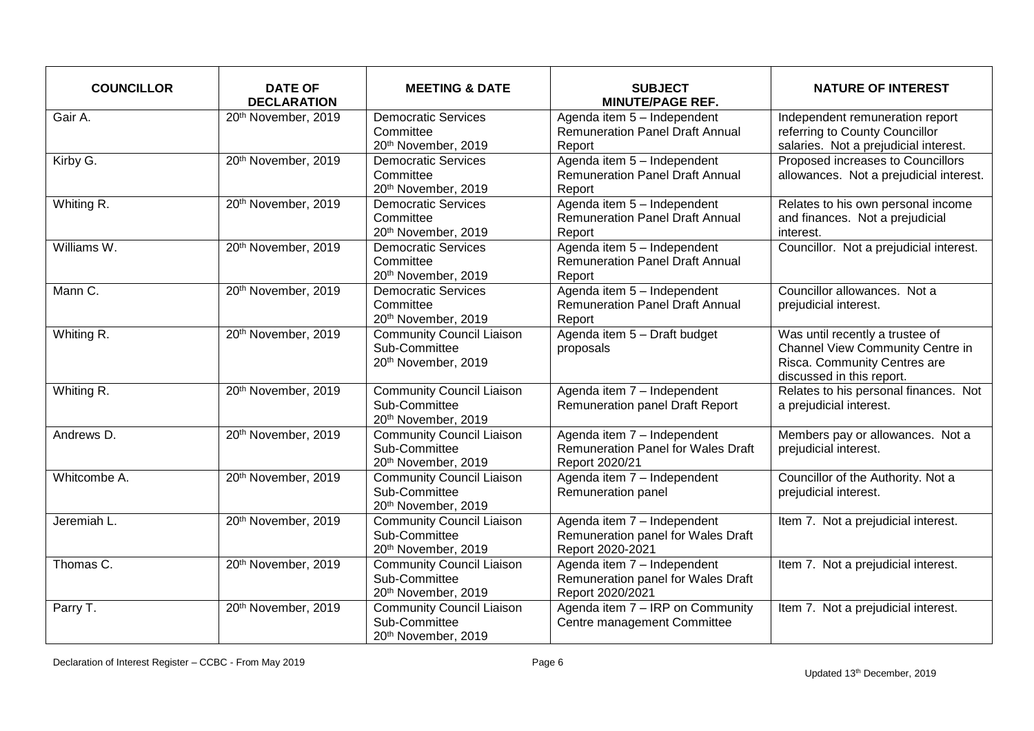| <b>COUNCILLOR</b> | <b>DATE OF</b><br><b>DECLARATION</b> | <b>MEETING &amp; DATE</b>                                                | <b>SUBJECT</b><br><b>MINUTE/PAGE REF.</b>                                                  | <b>NATURE OF INTEREST</b>                                                                                                        |
|-------------------|--------------------------------------|--------------------------------------------------------------------------|--------------------------------------------------------------------------------------------|----------------------------------------------------------------------------------------------------------------------------------|
| Gair A.           | 20th November, 2019                  | <b>Democratic Services</b><br>Committee<br>20th November, 2019           | Agenda item 5 - Independent<br><b>Remuneration Panel Draft Annual</b><br>Report            | Independent remuneration report<br>referring to County Councillor<br>salaries. Not a prejudicial interest.                       |
| Kirby G.          | 20th November, 2019                  | <b>Democratic Services</b><br>Committee<br>20th November, 2019           | Agenda item 5 - Independent<br><b>Remuneration Panel Draft Annual</b><br>Report            | Proposed increases to Councillors<br>allowances. Not a prejudicial interest.                                                     |
| Whiting R.        | 20th November, 2019                  | <b>Democratic Services</b><br>Committee<br>20th November, 2019           | Agenda item 5 - Independent<br><b>Remuneration Panel Draft Annual</b><br>Report            | Relates to his own personal income<br>and finances. Not a prejudicial<br>interest.                                               |
| Williams W.       | 20th November, 2019                  | <b>Democratic Services</b><br>Committee<br>20th November, 2019           | Agenda item 5 - Independent<br><b>Remuneration Panel Draft Annual</b><br>Report            | Councillor. Not a prejudicial interest.                                                                                          |
| Mann C.           | 20th November, 2019                  | <b>Democratic Services</b><br>Committee<br>20th November, 2019           | Agenda item 5 - Independent<br><b>Remuneration Panel Draft Annual</b><br>Report            | Councillor allowances. Not a<br>prejudicial interest.                                                                            |
| Whiting R.        | 20th November, 2019                  | <b>Community Council Liaison</b><br>Sub-Committee<br>20th November, 2019 | Agenda item 5 - Draft budget<br>proposals                                                  | Was until recently a trustee of<br>Channel View Community Centre in<br>Risca. Community Centres are<br>discussed in this report. |
| Whiting R.        | 20th November, 2019                  | <b>Community Council Liaison</b><br>Sub-Committee<br>20th November, 2019 | Agenda item 7 - Independent<br><b>Remuneration panel Draft Report</b>                      | Relates to his personal finances. Not<br>a prejudicial interest.                                                                 |
| Andrews D.        | 20th November, 2019                  | <b>Community Council Liaison</b><br>Sub-Committee<br>20th November, 2019 | Agenda item 7 - Independent<br><b>Remuneration Panel for Wales Draft</b><br>Report 2020/21 | Members pay or allowances. Not a<br>prejudicial interest.                                                                        |
| Whitcombe A.      | 20th November, 2019                  | <b>Community Council Liaison</b><br>Sub-Committee<br>20th November, 2019 | Agenda item 7 - Independent<br>Remuneration panel                                          | Councillor of the Authority. Not a<br>prejudicial interest.                                                                      |
| Jeremiah L.       | 20th November, 2019                  | <b>Community Council Liaison</b><br>Sub-Committee<br>20th November, 2019 | Agenda item 7 - Independent<br>Remuneration panel for Wales Draft<br>Report 2020-2021      | Item 7. Not a prejudicial interest.                                                                                              |
| Thomas C.         | 20th November, 2019                  | <b>Community Council Liaison</b><br>Sub-Committee<br>20th November, 2019 | Agenda item 7 - Independent<br>Remuneration panel for Wales Draft<br>Report 2020/2021      | Item 7. Not a prejudicial interest.                                                                                              |
| Parry T.          | 20th November, 2019                  | <b>Community Council Liaison</b><br>Sub-Committee<br>20th November, 2019 | Agenda item 7 - IRP on Community<br>Centre management Committee                            | Item 7. Not a prejudicial interest.                                                                                              |